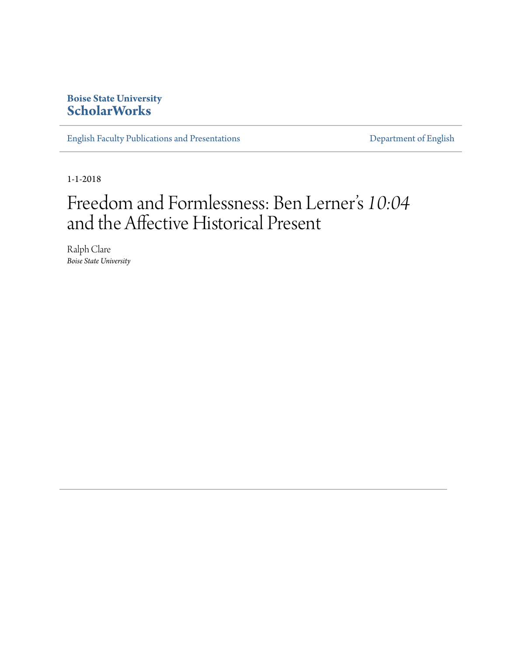## **Boise State University [ScholarWorks](https://scholarworks.boisestate.edu)**

[English Faculty Publications and Presentations](https://scholarworks.boisestate.edu/english_facpubs) **[Department of English](https://scholarworks.boisestate.edu/english)** 

1-1-2018

## Freedom and Formlessness: Ben Lerner s *10:04* י<br>' and the Affective Historical Present

Ralph Clare *Boise State University*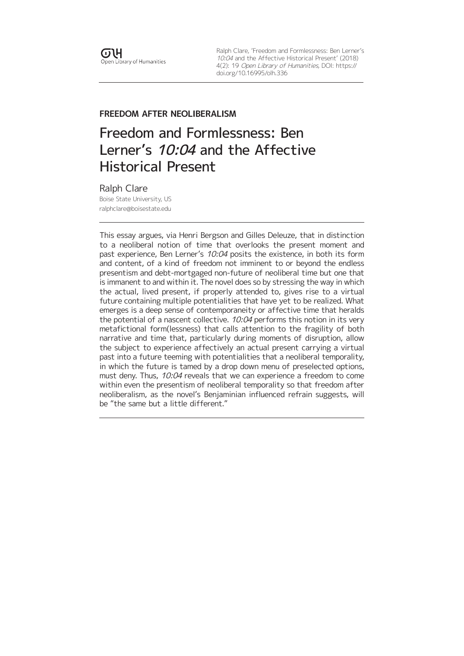Ralph Clare, 'Freedom and Formlessness: Ben Lerner's 10:04 and the Affective Historical Present' (2018) 4(2): 19 Open Library of Humanities, DOI: [https://](https://doi.org/10.16995/olh.336) [doi.org/10.16995/olh.336](https://doi.org/10.16995/olh.336)

### **FREEDOM AFTER NEOLIBERALISM**

# Freedom and Formlessness: Ben Lerner's 10:04 and the Affective Historical Present

Ralph Clare Boise State University, US [ralphclare@boisestate.edu](mailto:ralphclare@boisestate.edu)

This essay argues, via Henri Bergson and Gilles Deleuze, that in distinction to a neoliberal notion of time that overlooks the present moment and past experience, Ben Lerner's 10:04 posits the existence, in both its form and content, of a kind of freedom not imminent to or beyond the endless presentism and debt-mortgaged non-future of neoliberal time but one that is immanent to and within it. The novel does so by stressing the way in which the actual, lived present, if properly attended to, gives rise to a virtual future containing multiple potentialities that have yet to be realized. What emerges is a deep sense of contemporaneity or affective time that heralds the potential of a nascent collective. 10:04 performs this notion in its very metafictional form(lessness) that calls attention to the fragility of both narrative and time that, particularly during moments of disruption, allow the subject to experience affectively an actual present carrying a virtual past into a future teeming with potentialities that a neoliberal temporality, in which the future is tamed by a drop down menu of preselected options, must deny. Thus, 10:04 reveals that we can experience a freedom to come within even the presentism of neoliberal temporality so that freedom after neoliberalism, as the novel's Benjaminian influenced refrain suggests, will be "the same but a little different."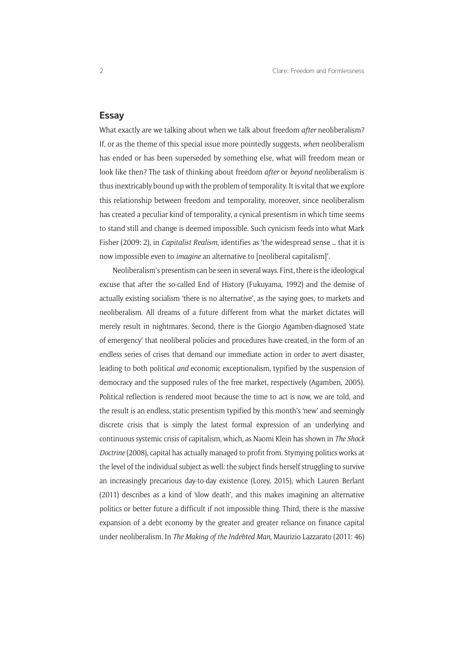#### **Essay**

What exactly are we talking about when we talk about freedom *after* neoliberalism? If, or as the theme of this special issue more pointedly suggests, *when* neoliberalism has ended or has been superseded by something else, what will freedom mean or look like then? The task of thinking about freedom *after* or *beyond* neoliberalism is thus inextricably bound up with the problem of temporality. It is vital that we explore this relationship between freedom and temporality, moreover, since neoliberalism has created a peculiar kind of temporality, a cynical presentism in which time seems to stand still and change is deemed impossible. Such cynicism feeds into what Mark Fisher (2009: 2), in *Capitalist Realism*, identifies as 'the widespread sense … that it is now impossible even to *imagine* an alternative to [neoliberal capitalism]'.

Neoliberalism's presentism can be seen in several ways. First, there is the ideological excuse that after the so-called End of History (Fukuyama, 1992) and the demise of actually existing socialism 'there is no alternative', as the saying goes, to markets and neoliberalism. All dreams of a future different from what the market dictates will merely result in nightmares. Second, there is the Giorgio Agamben-diagnosed 'state of emergency' that neoliberal policies and procedures have created, in the form of an endless series of crises that demand our immediate action in order to avert disaster, leading to both political *and* economic exceptionalism, typified by the suspension of democracy and the supposed rules of the free market, respectively (Agamben, 2005). Political reflection is rendered moot because the time to act is now, we are told, and the result is an endless, static presentism typified by this month's 'new' and seemingly discrete crisis that is simply the latest formal expression of an underlying and continuous systemic crisis of capitalism, which, as Naomi Klein has shown in *The Shock Doctrine* (2008), capital has actually managed to profit from. Stymying politics works at the level of the individual subject as well: the subject finds herself struggling to survive an increasingly precarious day-to-day existence (Lorey, 2015), which Lauren Berlant (2011) describes as a kind of 'slow death', and this makes imagining an alternative politics or better future a difficult if not impossible thing. Third, there is the massive expansion of a debt economy by the greater and greater reliance on finance capital under neoliberalism. In *The Making of the Indebted Man*, Maurizio Lazzarato (2011: 46)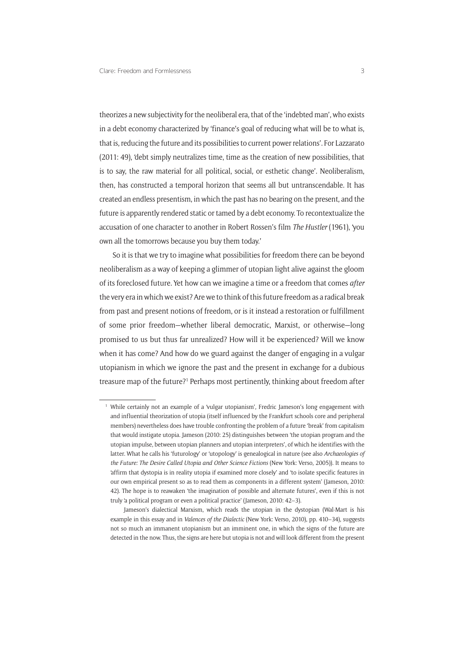theorizes a new subjectivity for the neoliberal era, that of the 'indebted man', who exists in a debt economy characterized by 'finance's goal of reducing what will be to what is, that is, reducing the future and its possibilities to current power relations'. For Lazzarato (2011: 49), 'debt simply neutralizes time, time as the creation of new possibilities, that is to say, the raw material for all political, social, or esthetic change'. Neoliberalism, then, has constructed a temporal horizon that seems all but untranscendable. It has created an endless presentism, in which the past has no bearing on the present, and the future is apparently rendered static or tamed by a debt economy. To recontextualize the accusation of one character to another in Robert Rossen's film *The Hustler* (1961), 'you own all the tomorrows because you buy them today.'

So it is that we try to imagine what possibilities for freedom there can be beyond neoliberalism as a way of keeping a glimmer of utopian light alive against the gloom of its foreclosed future. Yet how can we imagine a time or a freedom that comes *after* the very era in which we exist? Are we to think of this future freedom as a radical break from past and present notions of freedom, or is it instead a restoration or fulfillment of some prior freedom—whether liberal democratic, Marxist, or otherwise—long promised to us but thus far unrealized? How will it be experienced? Will we know when it has come? And how do we guard against the danger of engaging in a vulgar utopianism in which we ignore the past and the present in exchange for a dubious treasure map of the future?<sup>1</sup> Perhaps most pertinently, thinking about freedom after

<sup>&</sup>lt;sup>1</sup> While certainly not an example of a 'vulgar utopianism', Fredric Jameson's long engagement with and influential theorization of utopia (itself influenced by the Frankfurt schools core and peripheral members) nevertheless does have trouble confronting the problem of a future 'break' from capitalism that would instigate utopia. Jameson (2010: 25) distinguishes between 'the utopian program and the utopian impulse, between utopian planners and utopian interpreters', of which he identifies with the latter. What he calls his 'futurology' or 'utopology' is genealogical in nature (see also *Archaeologies of the Future: The Desire Called Utopia and Other Science Fictions* (New York: Verso, 2005)). It means to 'affirm that dystopia is in reality utopia if examined more closely' and 'to isolate specific features in our own empirical present so as to read them as components in a different system' (Jameson, 2010: 42). The hope is to reawaken 'the imagination of possible and alternate futures', even if this is not truly 'a political program or even a political practice' (Jameson, 2010: 42–3).

Jameson's dialectical Marxism, which reads the utopian in the dystopian (Wal-Mart is his example in this essay and in *Valences of the Dialectic* (New York: Verso, 2010), pp. 410–34), suggests not so much an immanent utopianism but an imminent one, in which the signs of the future are detected in the now. Thus, the signs are here but utopia is not and will look different from the present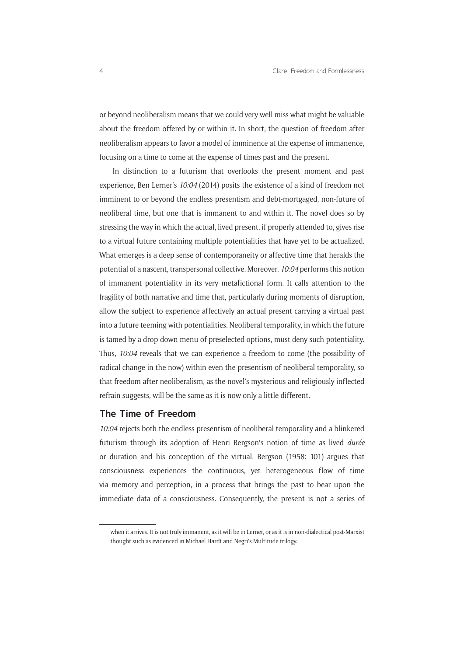or beyond neoliberalism means that we could very well miss what might be valuable about the freedom offered by or within it. In short, the question of freedom after neoliberalism appears to favor a model of imminence at the expense of immanence, focusing on a time to come at the expense of times past and the present.

In distinction to a futurism that overlooks the present moment and past experience, Ben Lerner's *10:04* (2014) posits the existence of a kind of freedom not imminent to or beyond the endless presentism and debt-mortgaged, non-future of neoliberal time, but one that is immanent to and within it. The novel does so by stressing the way in which the actual, lived present, if properly attended to, gives rise to a virtual future containing multiple potentialities that have yet to be actualized. What emerges is a deep sense of contemporaneity or affective time that heralds the potential of a nascent, transpersonal collective. Moreover, *10:04* performs this notion of immanent potentiality in its very metafictional form. It calls attention to the fragility of both narrative and time that, particularly during moments of disruption, allow the subject to experience affectively an actual present carrying a virtual past into a future teeming with potentialities. Neoliberal temporality, in which the future is tamed by a drop-down menu of preselected options, must deny such potentiality. Thus, *10:04* reveals that we can experience a freedom to come (the possibility of radical change in the now) within even the presentism of neoliberal temporality, so that freedom after neoliberalism, as the novel's mysterious and religiously inflected refrain suggests, will be the same as it is now only a little different.

#### **The Time of Freedom**

*10:04* rejects both the endless presentism of neoliberal temporality and a blinkered futurism through its adoption of Henri Bergson's notion of time as lived *durée* or duration and his conception of the virtual. Bergson (1958: 101) argues that consciousness experiences the continuous, yet heterogeneous flow of time via memory and perception, in a process that brings the past to bear upon the immediate data of a consciousness. Consequently, the present is not a series of

when it arrives. It is not truly immanent, as it will be in Lerner, or as it is in non-dialectical post-Marxist thought such as evidenced in Michael Hardt and Negri's Multitude trilogy.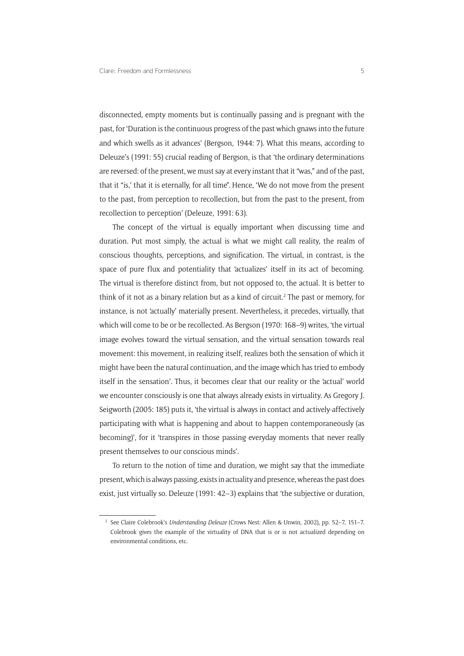disconnected, empty moments but is continually passing and is pregnant with the past, for 'Duration is the continuous progress of the past which gnaws into the future and which swells as it advances' (Bergson, 1944: 7). What this means, according to Deleuze's (1991: 55) crucial reading of Bergson, is that 'the ordinary determinations are reversed: of the present, we must say at every instant that it "was," and of the past, that it "is,' that it is eternally, for all time". Hence, 'We do not move from the present to the past, from perception to recollection, but from the past to the present, from recollection to perception' (Deleuze, 1991: 63).

The concept of the virtual is equally important when discussing time and duration. Put most simply, the actual is what we might call reality, the realm of conscious thoughts, perceptions, and signification. The virtual, in contrast, is the space of pure flux and potentiality that 'actualizes' itself in its act of becoming. The virtual is therefore distinct from, but not opposed to, the actual. It is better to think of it not as a binary relation but as a kind of circuit.<sup>2</sup> The past or memory, for instance, is not 'actually' materially present. Nevertheless, it precedes, virtually, that which will come to be or be recollected. As Bergson (1970: 168–9) writes, 'the virtual image evolves toward the virtual sensation, and the virtual sensation towards real movement: this movement, in realizing itself, realizes both the sensation of which it might have been the natural continuation, and the image which has tried to embody itself in the sensation'. Thus, it becomes clear that our reality or the 'actual' world we encounter consciously is one that always already exists in virtuality. As Gregory J. Seigworth (2005: 185) puts it, 'the virtual is always in contact and actively-affectively participating with what is happening and about to happen contemporaneously (as becoming)', for it 'transpires in those passing everyday moments that never really present themselves to our conscious minds'.

To return to the notion of time and duration, we might say that the immediate present, which is always passing, exists in actuality and presence, whereas the past does exist, just virtually so. Deleuze (1991: 42–3) explains that 'the subjective or duration,

<sup>2</sup> See Claire Colebrook's *Understanding Deleuze* (Crows Nest: Allen & Unwin, 2002), pp. 52–7, 151–7. Colebrook gives the example of the virtuality of DNA that is or is not actualized depending on environmental conditions, etc.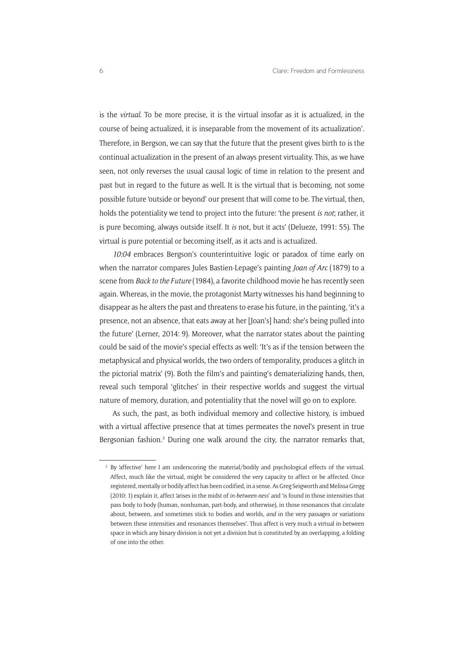is the *virtual*. To be more precise, it is the virtual insofar as it is actualized, in the course of being actualized, it is inseparable from the movement of its actualization'. Therefore, in Bergson, we can say that the future that the present gives birth to is the continual actualization in the present of an always present virtuality. This, as we have seen, not only reverses the usual causal logic of time in relation to the present and past but in regard to the future as well. It is the virtual that is becoming, not some possible future 'outside or beyond' our present that will come to be. The virtual, then, holds the potentiality we tend to project into the future: 'the present *is not*; rather, it is pure becoming, always outside itself. It *is* not, but it acts' (Delueze, 1991: 55). The virtual is pure potential or becoming itself, as it acts and is actualized.

*10:04* embraces Bergson's counterintuitive logic or paradox of time early on when the narrator compares Jules Bastien-Lepage's painting *Joan of Arc* (1879) to a scene from *Back to the Future* (1984), a favorite childhood movie he has recently seen again. Whereas, in the movie, the protagonist Marty witnesses his hand beginning to disappear as he alters the past and threatens to erase his future, in the painting, 'it's a presence, not an absence, that eats away at her [Joan's] hand: she's being pulled into the future' (Lerner, 2014: 9). Moreover, what the narrator states about the painting could be said of the movie's special effects as well: 'It's as if the tension between the metaphysical and physical worlds, the two orders of temporality, produces a glitch in the pictorial matrix' (9). Both the film's and painting's dematerializing hands, then, reveal such temporal 'glitches' in their respective worlds and suggest the virtual nature of memory, duration, and potentiality that the novel will go on to explore.

As such, the past, as both individual memory and collective history, is imbued with a virtual affective presence that at times permeates the novel's present in true Bergsonian fashion.<sup>3</sup> During one walk around the city, the narrator remarks that,

<sup>&</sup>lt;sup>3</sup> By 'affective' here I am underscoring the material/bodily and psychological effects of the virtual. Affect, much like the virtual, might be considered the very capacity to affect or be affected. Once registered, mentally or bodily affect has been codified, in a sense. As Greg Seigworth and Melissa Gregg (2010: 1) explain it, affect 'arises in the midst of *in-between-ness*' and 'is found in those intensities that pass body to body (human, nonhuman, part-body, and otherwise), in those resonances that circulate about, between, and sometimes stick to bodies and worlds, *and* in the very passages or variations between these intensities and resonances themselves'. Thus affect is very much a virtual in-between space in which any binary division is not yet a division but is constituted by an overlapping, a folding of one into the other.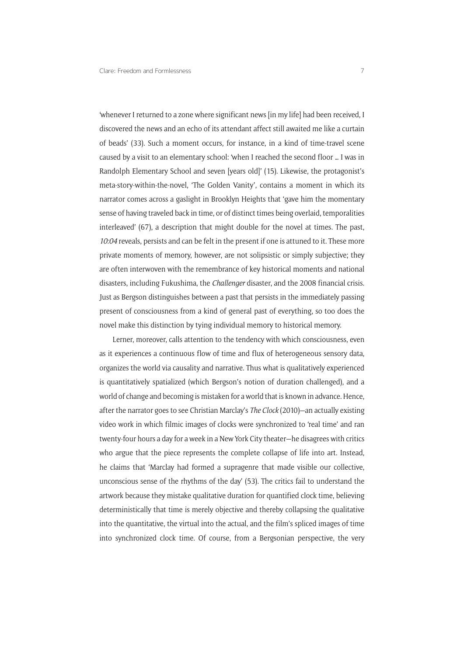'whenever I returned to a zone where significant news [in my life] had been received, I discovered the news and an echo of its attendant affect still awaited me like a curtain of beads' (33). Such a moment occurs, for instance, in a kind of time-travel scene caused by a visit to an elementary school: 'when I reached the second floor … I was in Randolph Elementary School and seven [years old]' (15). Likewise, the protagonist's meta-story-within-the-novel, 'The Golden Vanity', contains a moment in which its narrator comes across a gaslight in Brooklyn Heights that 'gave him the momentary sense of having traveled back in time, or of distinct times being overlaid, temporalities interleaved' (67), a description that might double for the novel at times. The past, *10:04* reveals, persists and can be felt in the present if one is attuned to it. These more private moments of memory, however, are not solipsistic or simply subjective; they are often interwoven with the remembrance of key historical moments and national disasters, including Fukushima, the *Challenger* disaster, and the 2008 financial crisis. Just as Bergson distinguishes between a past that persists in the immediately passing present of consciousness from a kind of general past of everything, so too does the novel make this distinction by tying individual memory to historical memory.

Lerner, moreover, calls attention to the tendency with which consciousness, even as it experiences a continuous flow of time and flux of heterogeneous sensory data, organizes the world via causality and narrative. Thus what is qualitatively experienced is quantitatively spatialized (which Bergson's notion of duration challenged), and a world of change and becoming is mistaken for a world that is known in advance. Hence, after the narrator goes to see Christian Marclay's *The Clock* (2010)—an actually existing video work in which filmic images of clocks were synchronized to 'real time' and ran twenty-four hours a day for a week in a New York City theater—he disagrees with critics who argue that the piece represents the complete collapse of life into art. Instead, he claims that 'Marclay had formed a supragenre that made visible our collective, unconscious sense of the rhythms of the day' (53). The critics fail to understand the artwork because they mistake qualitative duration for quantified clock time, believing deterministically that time is merely objective and thereby collapsing the qualitative into the quantitative, the virtual into the actual, and the film's spliced images of time into synchronized clock time. Of course, from a Bergsonian perspective, the very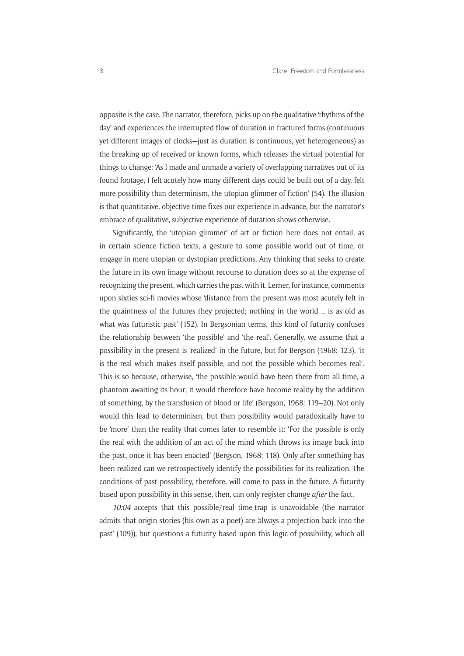opposite is the case. The narrator, therefore, picks up on the qualitative 'rhythms of the day' and experiences the interrupted flow of duration in fractured forms (continuous yet different images of clocks—just as duration is continuous, yet heterogeneous) as the breaking up of received or known forms, which releases the virtual potential for things to change: 'As I made and unmade a variety of overlapping narratives out of its found footage, I felt acutely how many different days could be built out of a day, felt more possibility than determinism, the utopian glimmer of fiction' (54). The illusion is that quantitative, objective time fixes our experience in advance, but the narrator's embrace of qualitative, subjective experience of duration shows otherwise.

Significantly, the 'utopian glimmer' of art or fiction here does not entail, as in certain science fiction texts, a gesture to some possible world out of time, or engage in mere utopian or dystopian predictions. Any thinking that seeks to create the future in its own image without recourse to duration does so at the expense of recognizing the present, which carries the past with it. Lerner, for instance, comments upon sixties sci-fi movies whose 'distance from the present was most acutely felt in the quaintness of the futures they projected; nothing in the world … is as old as what was futuristic past' (152). In Bergsonian terms, this kind of futurity confuses the relationship between 'the possible' and 'the real'. Generally, we assume that a possibility in the present is 'realized' in the future, but for Bergson (1968: 123), 'it is the real which makes itself possible, and not the possible which becomes real'. This is so because, otherwise, 'the possible would have been there from all time, a phantom awaiting its hour; it would therefore have become reality by the addition of something, by the transfusion of blood or life' (Bergson, 1968: 119–20). Not only would this lead to determinism, but then possibility would paradoxically have to be 'more' than the reality that comes later to resemble it: 'For the possible is only the real with the addition of an act of the mind which throws its image back into the past, once it has been enacted' (Bergson, 1968: 118). Only after something has been realized can we retrospectively identify the possibilities for its realization. The conditions of past possibility, therefore, will come to pass in the future. A futurity based upon possibility in this sense, then, can only register change *after* the fact.

*10:04* accepts that this possible/real time-trap is unavoidable (the narrator admits that origin stories (his own as a poet) are 'always a projection back into the past' (109)), but questions a futurity based upon this logic of possibility, which all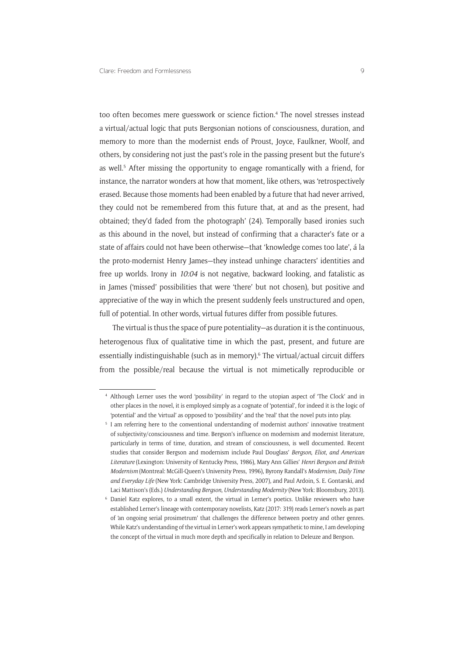too often becomes mere guesswork or science fiction.<sup>4</sup> The novel stresses instead a virtual/actual logic that puts Bergsonian notions of consciousness, duration, and memory to more than the modernist ends of Proust, Joyce, Faulkner, Woolf, and others, by considering not just the past's role in the passing present but the future's as well.<sup>5</sup> After missing the opportunity to engage romantically with a friend, for instance, the narrator wonders at how that moment, like others, was 'retrospectively erased. Because those moments had been enabled by a future that had never arrived, they could not be remembered from this future that, at and as the present, had obtained; they'd faded from the photograph' (24). Temporally based ironies such as this abound in the novel, but instead of confirming that a character's fate or a state of affairs could not have been otherwise—that 'knowledge comes too late', á la the proto-modernist Henry James—they instead unhinge characters' identities and free up worlds. Irony in *10:04* is not negative, backward looking, and fatalistic as in James ('missed' possibilities that were 'there' but not chosen), but positive and appreciative of the way in which the present suddenly feels unstructured and open, full of potential. In other words, virtual futures differ from possible futures.

The virtual is thus the space of pure potentiality—as duration it is the continuous, heterogenous flux of qualitative time in which the past, present, and future are essentially indistinguishable (such as in memory).<sup>6</sup> The virtual/actual circuit differs from the possible/real because the virtual is not mimetically reproducible or

<sup>4</sup> Although Lerner uses the word 'possibility' in regard to the utopian aspect of 'The Clock' and in other places in the novel, it is employed simply as a cognate of 'potential', for indeed it is the logic of 'potential' and the 'virtual' as opposed to 'possibility' and the 'real' that the novel puts into play.

<sup>&</sup>lt;sup>5</sup> I am referring here to the conventional understanding of modernist authors' innovative treatment of subjectivity/consciousness and time. Bergson's influence on modernism and modernist literature, particularly in terms of time, duration, and stream of consciousness, is well documented. Recent studies that consider Bergson and modernism include Paul Douglass' *Bergson*, *Eliot*, *and American Literature* (Lexington: University of Kentucky Press, 1986), Mary Ann Gillies' *Henri Bergson and British Modernism* (Montreal: McGill-Queen's University Press, 1996), Byrony Randall's *Modernism*, *Daily Time and Everyday Life* (New York: Cambridge University Press, 2007), and Paul Ardoin, S. E. Gontarski, and Laci Mattison's (Eds.) *Understanding Bergson*, *Understanding Modernity* (New York: Bloomsbury, 2013).

Daniel Katz explores, to a small extent, the virtual in Lerner's poetics. Unlike reviewers who have established Lerner's lineage with contemporary novelists, Katz (2017: 319) reads Lerner's novels as part of 'an ongoing serial prosimetrum' that challenges the difference between poetry and other genres. While Katz's understanding of the virtual in Lerner's work appears sympathetic to mine, I am developing the concept of the virtual in much more depth and specifically in relation to Deleuze and Bergson.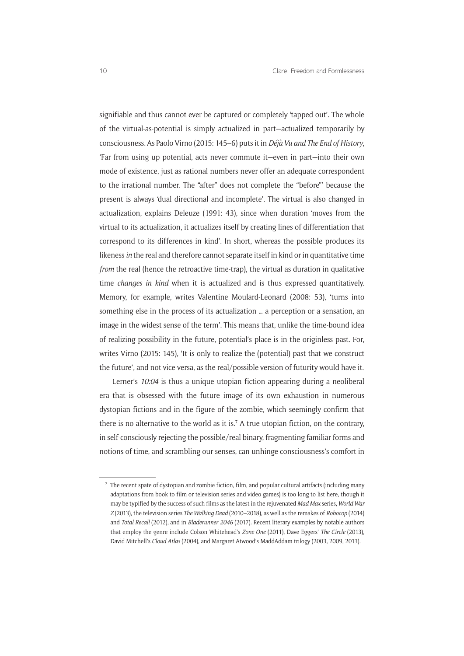signifiable and thus cannot ever be captured or completely 'tapped out'. The whole of the virtual-as-potential is simply actualized in part—actualized temporarily by consciousness. As Paolo Virno (2015: 145–6) puts it in *Déjà Vu and The End of History*, 'Far from using up potential, acts never commute it—even in part—into their own mode of existence, just as rational numbers never offer an adequate correspondent to the irrational number. The "after" does not complete the "before"' because the present is always 'dual directional and incomplete'. The virtual is also changed in actualization, explains Deleuze (1991: 43), since when duration 'moves from the virtual to its actualization, it actualizes itself by creating lines of differentiation that correspond to its differences in kind'. In short, whereas the possible produces its likeness *in* the real and therefore cannot separate itself in kind or in quantitative time *from* the real (hence the retroactive time-trap), the virtual as duration in qualitative time *changes in kind* when it is actualized and is thus expressed quantitatively. Memory, for example, writes Valentine Moulard-Leonard (2008: 53), 'turns into something else in the process of its actualization … a perception or a sensation, an image in the widest sense of the term'. This means that, unlike the time-bound idea of realizing possibility in the future, potential's place is in the originless past. For, writes Virno (2015: 145), 'It is only to realize the (potential) past that we construct the future', and not vice-versa, as the real/possible version of futurity would have it.

Lerner's *10:04* is thus a unique utopian fiction appearing during a neoliberal era that is obsessed with the future image of its own exhaustion in numerous dystopian fictions and in the figure of the zombie, which seemingly confirm that there is no alternative to the world as it is.<sup>7</sup> A true utopian fiction, on the contrary, in self-consciously rejecting the possible/real binary, fragmenting familiar forms and notions of time, and scrambling our senses, can unhinge consciousness's comfort in

 $<sup>7</sup>$  The recent spate of dystopian and zombie fiction, film, and popular cultural artifacts (including many</sup> adaptations from book to film or television series and video games) is too long to list here, though it may be typified by the success of such films as the latest in the rejuvenated *Mad Max* series, *World War Z* (2013), the television series *The Walking Dead* (2010–2018), as well as the remakes of *Robocop* (2014) and *Total Recall* (2012), and in *Bladerunner 2046* (2017). Recent literary examples by notable authors that employ the genre include Colson Whitehead's *Zone One* (2011), Dave Eggers' *The Circle* (2013), David Mitchell's *Cloud Atlas* (2004), and Margaret Atwood's MaddAddam trilogy (2003, 2009, 2013).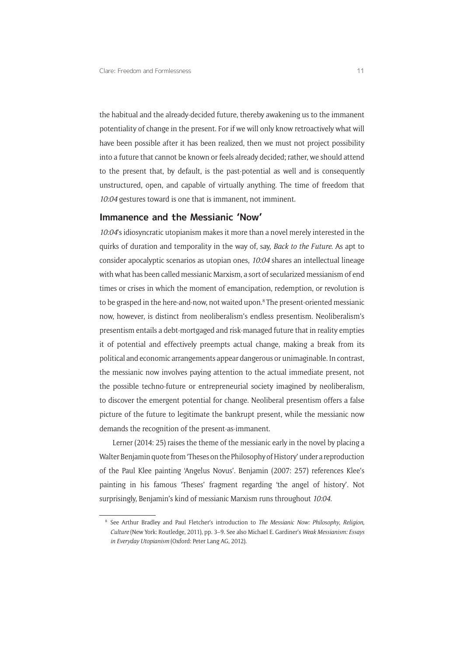the habitual and the already-decided future, thereby awakening us to the immanent potentiality of change in the present. For if we will only know retroactively what will have been possible after it has been realized, then we must not project possibility into a future that cannot be known or feels already decided; rather, we should attend to the present that, by default, is the past-potential as well and is consequently unstructured, open, and capable of virtually anything. The time of freedom that *10:04* gestures toward is one that is immanent, not imminent.

#### **Immanence and the Messianic 'Now'**

*10:04*'s idiosyncratic utopianism makes it more than a novel merely interested in the quirks of duration and temporality in the way of, say, *Back to the Future*. As apt to consider apocalyptic scenarios as utopian ones, *10:04* shares an intellectual lineage with what has been called messianic Marxism, a sort of secularized messianism of end times or crises in which the moment of emancipation, redemption, or revolution is to be grasped in the here-and-now, not waited upon.<sup>8</sup> The present-oriented messianic now, however, is distinct from neoliberalism's endless presentism. Neoliberalism's presentism entails a debt-mortgaged and risk-managed future that in reality empties it of potential and effectively preempts actual change, making a break from its political and economic arrangements appear dangerous or unimaginable. In contrast, the messianic now involves paying attention to the actual immediate present, not the possible techno-future or entrepreneurial society imagined by neoliberalism, to discover the emergent potential for change. Neoliberal presentism offers a false picture of the future to legitimate the bankrupt present, while the messianic now demands the recognition of the present-as-immanent.

Lerner (2014: 25) raises the theme of the messianic early in the novel by placing a Walter Benjamin quote from 'Theses on the Philosophy of History' under a reproduction of the Paul Klee painting 'Angelus Novus'. Benjamin (2007: 257) references Klee's painting in his famous 'Theses' fragment regarding 'the angel of history'. Not surprisingly, Benjamin's kind of messianic Marxism runs throughout *10:04*.

<sup>8</sup> See Arthur Bradley and Paul Fletcher's introduction to *The Messianic Now: Philosophy*, *Religion*, *Culture* (New York: Routledge, 2011), pp. 3–9. See also Michael E. Gardiner's *Weak Messianism: Essays in Everyday Utopianism* (Oxford: Peter Lang AG, 2012).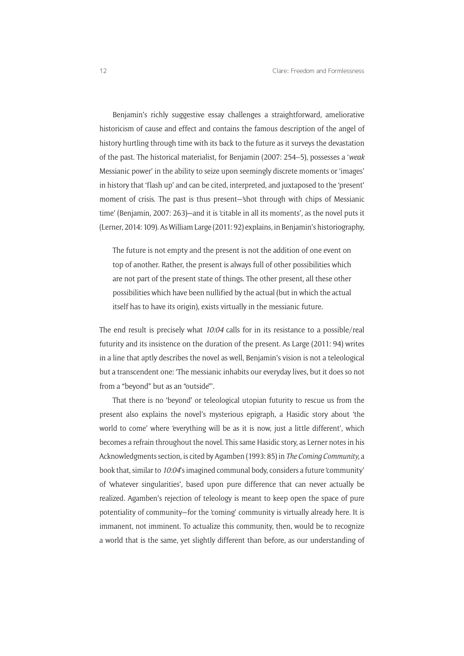Benjamin's richly suggestive essay challenges a straightforward, ameliorative historicism of cause and effect and contains the famous description of the angel of history hurtling through time with its back to the future as it surveys the devastation of the past. The historical materialist, for Benjamin (2007: 254–5), possesses a '*weak* Messianic power' in the ability to seize upon seemingly discrete moments or 'images' in history that 'flash up' and can be cited, interpreted, and juxtaposed to the 'present' moment of crisis. The past is thus present—'shot through with chips of Messianic time' (Benjamin, 2007: 263)—and it is 'citable in all its moments', as the novel puts it (Lerner, 2014: 109). As William Large (2011: 92) explains, in Benjamin's historiography,

The future is not empty and the present is not the addition of one event on top of another. Rather, the present is always full of other possibilities which are not part of the present state of things. The other present, all these other possibilities which have been nullified by the actual (but in which the actual itself has to have its origin), exists virtually in the messianic future.

The end result is precisely what *10:04* calls for in its resistance to a possible/real futurity and its insistence on the duration of the present. As Large (2011: 94) writes in a line that aptly describes the novel as well, Benjamin's vision is not a teleological but a transcendent one: 'The messianic inhabits our everyday lives, but it does so not from a "beyond" but as an "outside"'.

That there is no 'beyond' or teleological utopian futurity to rescue us from the present also explains the novel's mysterious epigraph, a Hasidic story about 'the world to come' where 'everything will be as it is now, just a little different', which becomes a refrain throughout the novel. This same Hasidic story, as Lerner notes in his Acknowledgments section, is cited by Agamben (1993: 85) in *The Coming Community*, a book that, similar to *10:04*'s imagined communal body, considers a future 'community' of 'whatever singularities', based upon pure difference that can never actually be realized. Agamben's rejection of teleology is meant to keep open the space of pure potentiality of community—for the 'coming' community is virtually already here. It is immanent, not imminent. To actualize this community, then, would be to recognize a world that is the same, yet slightly different than before, as our understanding of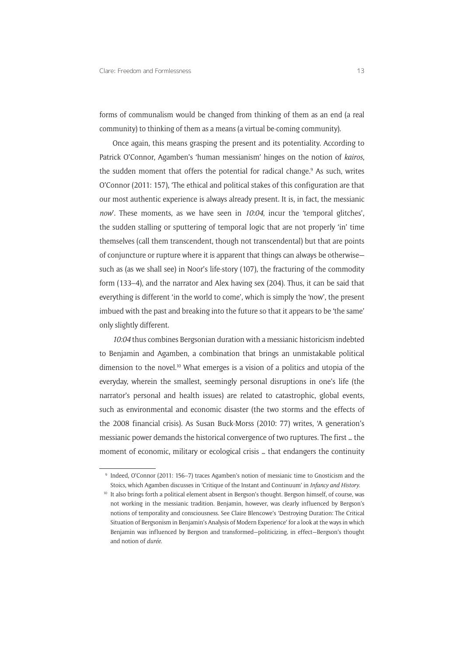forms of communalism would be changed from thinking of them as an end (a real community) to thinking of them as a means (a virtual be-coming community).

Once again, this means grasping the present and its potentiality. According to Patrick O'Connor, Agamben's 'human messianism' hinges on the notion of *kairos*, the sudden moment that offers the potential for radical change.<sup>9</sup> As such, writes O'Connor (2011: 157), 'The ethical and political stakes of this configuration are that our most authentic experience is always already present. It is, in fact, the messianic *now*'. These moments, as we have seen in *10:04*, incur the 'temporal glitches', the sudden stalling or sputtering of temporal logic that are not properly 'in' time themselves (call them transcendent, though not transcendental) but that are points of conjuncture or rupture where it is apparent that things can always be otherwise such as (as we shall see) in Noor's life-story (107), the fracturing of the commodity form (133–4), and the narrator and Alex having sex (204). Thus, it can be said that everything is different 'in the world to come', which is simply the 'now', the present imbued with the past and breaking into the future so that it appears to be 'the same' only slightly different.

*10:04* thus combines Bergsonian duration with a messianic historicism indebted to Benjamin and Agamben, a combination that brings an unmistakable political dimension to the novel.<sup>10</sup> What emerges is a vision of a politics and utopia of the everyday, wherein the smallest, seemingly personal disruptions in one's life (the narrator's personal and health issues) are related to catastrophic, global events, such as environmental and economic disaster (the two storms and the effects of the 2008 financial crisis). As Susan Buck-Morss (2010: 77) writes, 'A generation's messianic power demands the historical convergence of two ruptures. The first … the moment of economic, military or ecological crisis … that endangers the continuity

<sup>9</sup> Indeed, O'Connor (2011: 156–7) traces Agamben's notion of messianic time to Gnosticism and the Stoics, which Agamben discusses in 'Critique of the Instant and Continuum' in *Infancy and History*.

<sup>&</sup>lt;sup>10</sup> It also brings forth a political element absent in Bergson's thought. Bergson himself, of course, was not working in the messianic tradition. Benjamin, however, was clearly influenced by Bergson's notions of temporality and consciousness. See Claire Blencowe's 'Destroying Duration: The Critical Situation of Bergsonism in Benjamin's Analysis of Modern Experience' for a look at the ways in which Benjamin was influenced by Bergson and transformed—politicizing, in effect—Bergson's thought and notion of *durée*.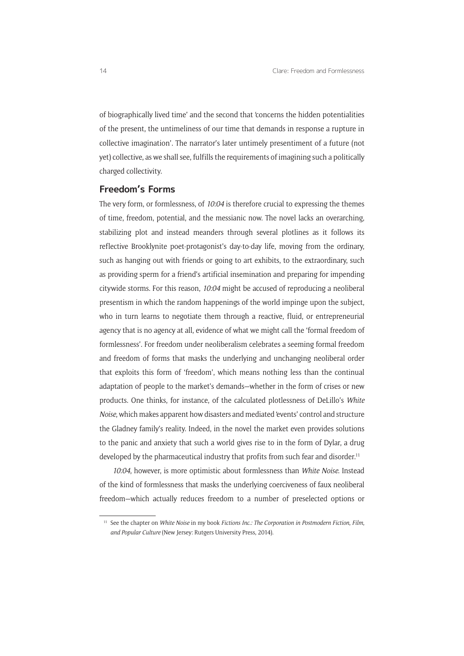of biographically lived time' and the second that 'concerns the hidden potentialities of the present, the untimeliness of our time that demands in response a rupture in collective imagination'. The narrator's later untimely presentiment of a future (not yet) collective, as we shall see, fulfills the requirements of imagining such a politically charged collectivity.

#### **Freedom's Forms**

The very form, or formlessness, of *10:04* is therefore crucial to expressing the themes of time, freedom, potential, and the messianic now. The novel lacks an overarching, stabilizing plot and instead meanders through several plotlines as it follows its reflective Brooklynite poet-protagonist's day-to-day life, moving from the ordinary, such as hanging out with friends or going to art exhibits, to the extraordinary, such as providing sperm for a friend's artificial insemination and preparing for impending citywide storms. For this reason, *10:04* might be accused of reproducing a neoliberal presentism in which the random happenings of the world impinge upon the subject, who in turn learns to negotiate them through a reactive, fluid, or entrepreneurial agency that is no agency at all, evidence of what we might call the 'formal freedom of formlessness'. For freedom under neoliberalism celebrates a seeming formal freedom and freedom of forms that masks the underlying and unchanging neoliberal order that exploits this form of 'freedom', which means nothing less than the continual adaptation of people to the market's demands—whether in the form of crises or new products. One thinks, for instance, of the calculated plotlessness of DeLillo's *White Noise*, which makes apparent how disasters and mediated 'events' control and structure the Gladney family's reality. Indeed, in the novel the market even provides solutions to the panic and anxiety that such a world gives rise to in the form of Dylar, a drug developed by the pharmaceutical industry that profits from such fear and disorder.<sup>11</sup>

*10:04*, however, is more optimistic about formlessness than *White Noise*. Instead of the kind of formlessness that masks the underlying coerciveness of faux neoliberal freedom—which actually reduces freedom to a number of preselected options or

<sup>11</sup> See the chapter on *White Noise* in my book *Fictions Inc*.*: The Corporation in Postmodern Fiction*, *Film*, *and Popular Culture* (New Jersey: Rutgers University Press, 2014).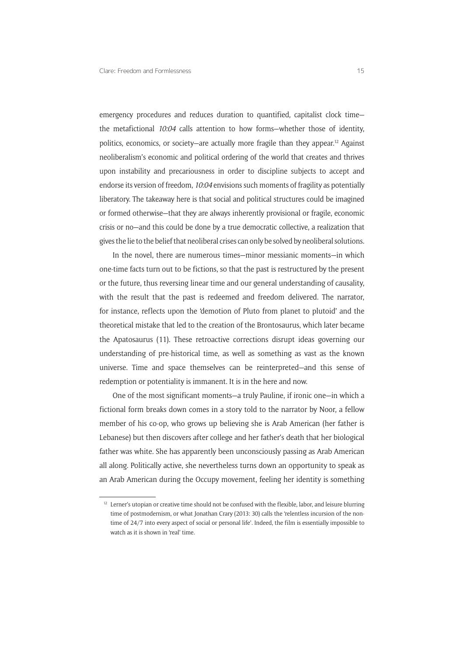emergency procedures and reduces duration to quantified, capitalist clock time the metafictional *10:04* calls attention to how forms—whether those of identity, politics, economics, or society—are actually more fragile than they appear.12 Against neoliberalism's economic and political ordering of the world that creates and thrives upon instability and precariousness in order to discipline subjects to accept and endorse its version of freedom, *10:04* envisions such moments of fragility as potentially liberatory. The takeaway here is that social and political structures could be imagined or formed otherwise—that they are always inherently provisional or fragile, economic crisis or no—and this could be done by a true democratic collective, a realization that gives the lie to the belief that neoliberal crises can only be solved by neoliberal solutions.

In the novel, there are numerous times—minor messianic moments—in which one-time facts turn out to be fictions, so that the past is restructured by the present or the future, thus reversing linear time and our general understanding of causality, with the result that the past is redeemed and freedom delivered. The narrator, for instance, reflects upon the 'demotion of Pluto from planet to plutoid' and the theoretical mistake that led to the creation of the Brontosaurus, which later became the Apatosaurus (11). These retroactive corrections disrupt ideas governing our understanding of pre-historical time, as well as something as vast as the known universe. Time and space themselves can be reinterpreted—and this sense of redemption or potentiality is immanent. It is in the here and now.

One of the most significant moments—a truly Pauline, if ironic one—in which a fictional form breaks down comes in a story told to the narrator by Noor, a fellow member of his co-op, who grows up believing she is Arab American (her father is Lebanese) but then discovers after college and her father's death that her biological father was white. She has apparently been unconsciously passing as Arab American all along. Politically active, she nevertheless turns down an opportunity to speak as an Arab American during the Occupy movement, feeling her identity is something

<sup>&</sup>lt;sup>12</sup> Lerner's utopian or creative time should not be confused with the flexible, labor, and leisure blurring time of postmodernism, or what Jonathan Crary (2013: 30) calls the 'relentless incursion of the nontime of 24/7 into every aspect of social or personal life'. Indeed, the film is essentially impossible to watch as it is shown in 'real' time.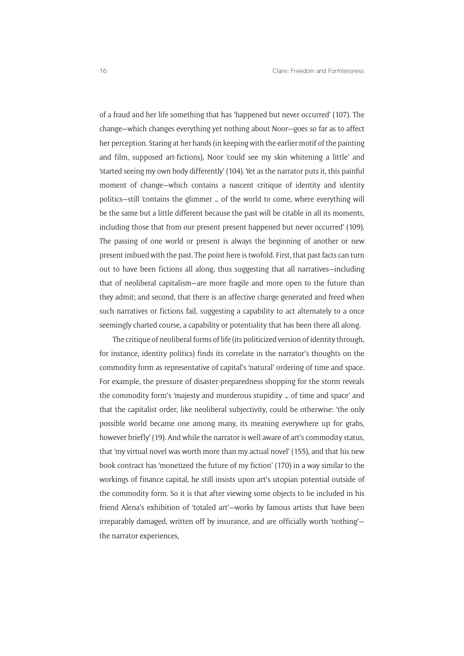of a fraud and her life something that has 'happened but never occurred' (107). The change—which changes everything yet nothing about Noor—goes so far as to affect her perception. Staring at her hands (in keeping with the earlier motif of the painting and film, supposed art-fictions), Noor 'could see my skin whitening a little' and 'started seeing my own body differently' (104). Yet as the narrator puts it, this painful moment of change—which contains a nascent critique of identity and identity politics—still 'contains the glimmer … of the world to come, where everything will be the same but a little different because the past will be citable in all its moments, including those that from our present present happened but never occurred' (109). The passing of one world or present is always the beginning of another or new present imbued with the past. The point here is twofold. First, that past facts can turn out to have been fictions all along, thus suggesting that all narratives—including that of neoliberal capitalism—are more fragile and more open to the future than they admit; and second, that there is an affective charge generated and freed when such narratives or fictions fail, suggesting a capability to act alternately to a once seemingly charted course, a capability or potentiality that has been there all along.

The critique of neoliberal forms of life (its politicized version of identity through, for instance, identity politics) finds its correlate in the narrator's thoughts on the commodity form as representative of capital's 'natural' ordering of time and space. For example, the pressure of disaster-preparedness shopping for the storm reveals the commodity form's 'majesty and murderous stupidity … of time and space' and that the capitalist order, like neoliberal subjectivity, could be otherwise: 'the only possible world became one among many, its meaning everywhere up for grabs, however briefly' (19). And while the narrator is well aware of art's commodity status, that 'my virtual novel was worth more than my actual novel' (155), and that his new book contract has 'monetized the future of my fiction' (170) in a way similar to the workings of finance capital, he still insists upon art's utopian potential outside of the commodity form. So it is that after viewing some objects to be included in his friend Alena's exhibition of 'totaled art'—works by famous artists that have been irreparably damaged, written off by insurance, and are officially worth 'nothing' the narrator experiences,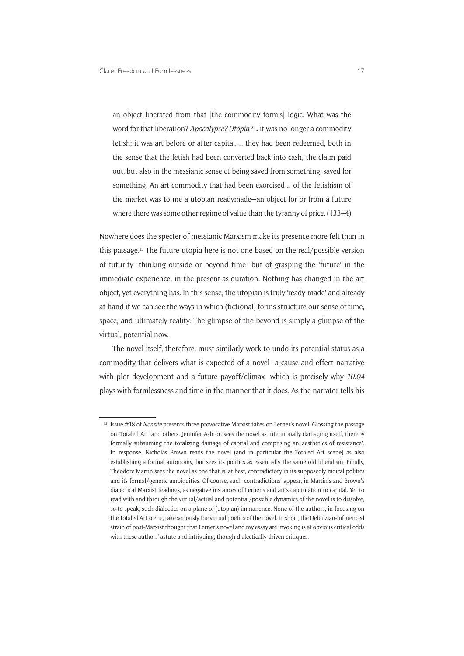an object liberated from that [the commodity form's] logic. What was the word for that liberation? *Apocalypse? Utopia?* … it was no longer a commodity fetish; it was art before or after capital. … they had been redeemed, both in the sense that the fetish had been converted back into cash, the claim paid out, but also in the messianic sense of being saved from something, saved for something. An art commodity that had been exorcised … of the fetishism of the market was to me a utopian readymade—an object for or from a future where there was some other regime of value than the tyranny of price. (133–4)

Nowhere does the specter of messianic Marxism make its presence more felt than in this passage.13 The future utopia here is not one based on the real/possible version of futurity—thinking outside or beyond time—but of grasping the 'future' in the immediate experience, in the present-as-duration. Nothing has changed in the art object, yet everything has. In this sense, the utopian is truly 'ready-made' and already at-hand if we can see the ways in which (fictional) forms structure our sense of time, space, and ultimately reality. The glimpse of the beyond is simply a glimpse of the virtual, potential now.

The novel itself, therefore, must similarly work to undo its potential status as a commodity that delivers what is expected of a novel—a cause and effect narrative with plot development and a future payoff/climax—which is precisely why *10:04* plays with formlessness and time in the manner that it does. As the narrator tells his

<sup>13</sup> Issue #18 of *Nonsite* presents three provocative Marxist takes on Lerner's novel. Glossing the passage on 'Totaled Art' and others, Jennifer Ashton sees the novel as intentionally damaging itself, thereby formally subsuming the totalizing damage of capital and comprising an 'aesthetics of resistance'. In response, Nicholas Brown reads the novel (and in particular the Totaled Art scene) as also establishing a formal autonomy, but sees its politics as essentially the same old liberalism. Finally, Theodore Martin sees the novel as one that is, at best, contradictory in its supposedly radical politics and its formal/generic ambiguities. Of course, such 'contradictions' appear, in Martin's and Brown's dialectical Marxist readings, as negative instances of Lerner's and art's capitulation to capital. Yet to read with and through the virtual/actual and potential/possible dynamics of the novel is to dissolve, so to speak, such dialectics on a plane of (utopian) immanence. None of the authors, in focusing on the Totaled Art scene, take seriously the virtual poetics of the novel. In short, the Deleuzian-influenced strain of post-Marxist thought that Lerner's novel and my essay are invoking is at obvious critical odds with these authors' astute and intriguing, though dialectically-driven critiques.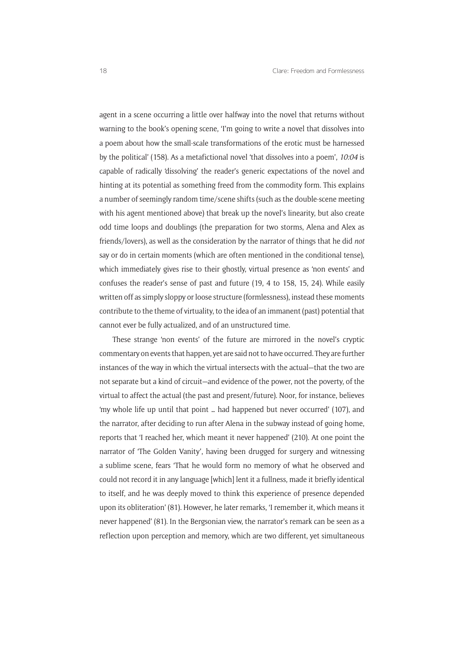agent in a scene occurring a little over halfway into the novel that returns without warning to the book's opening scene, 'I'm going to write a novel that dissolves into a poem about how the small-scale transformations of the erotic must be harnessed by the political' (158). As a metafictional novel 'that dissolves into a poem', *10:04* is capable of radically 'dissolving' the reader's generic expectations of the novel and hinting at its potential as something freed from the commodity form. This explains a number of seemingly random time/scene shifts (such as the double-scene meeting with his agent mentioned above) that break up the novel's linearity, but also create odd time loops and doublings (the preparation for two storms, Alena and Alex as friends/lovers), as well as the consideration by the narrator of things that he did *not* say or do in certain moments (which are often mentioned in the conditional tense), which immediately gives rise to their ghostly, virtual presence as 'non events' and confuses the reader's sense of past and future (19, 4 to 158, 15, 24). While easily written off as simply sloppy or loose structure (formlessness), instead these moments contribute to the theme of virtuality, to the idea of an immanent (past) potential that cannot ever be fully actualized, and of an unstructured time.

These strange 'non events' of the future are mirrored in the novel's cryptic commentary on events that happen, yet are said not to have occurred. They are further instances of the way in which the virtual intersects with the actual—that the two are not separate but a kind of circuit—and evidence of the power, not the poverty, of the virtual to affect the actual (the past and present/future). Noor, for instance, believes 'my whole life up until that point … had happened but never occurred' (107), and the narrator, after deciding to run after Alena in the subway instead of going home, reports that 'I reached her, which meant it never happened' (210). At one point the narrator of 'The Golden Vanity', having been drugged for surgery and witnessing a sublime scene, fears 'That he would form no memory of what he observed and could not record it in any language [which] lent it a fullness, made it briefly identical to itself, and he was deeply moved to think this experience of presence depended upon its obliteration' (81). However, he later remarks, 'I remember it, which means it never happened' (81). In the Bergsonian view, the narrator's remark can be seen as a reflection upon perception and memory, which are two different, yet simultaneous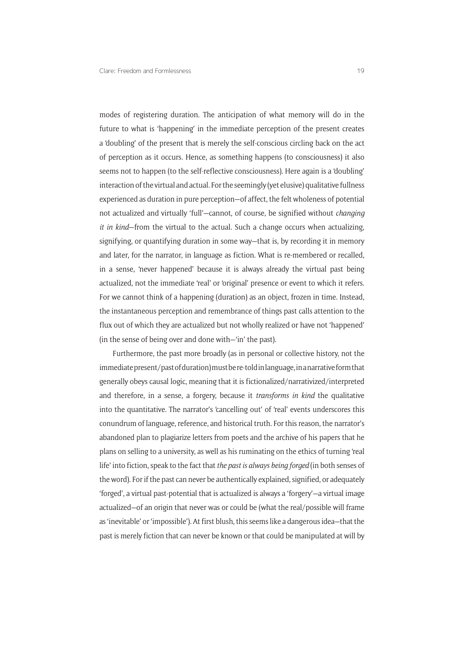modes of registering duration. The anticipation of what memory will do in the future to what is 'happening' in the immediate perception of the present creates a 'doubling' of the present that is merely the self-conscious circling back on the act of perception as it occurs. Hence, as something happens (to consciousness) it also seems not to happen (to the self-reflective consciousness). Here again is a 'doubling' interaction of the virtual and actual. For the seemingly (yet elusive) qualitative fullness experienced as duration in pure perception—of affect, the felt wholeness of potential not actualized and virtually 'full'—cannot, of course, be signified without *changing it in kind*—from the virtual to the actual. Such a change occurs when actualizing, signifying, or quantifying duration in some way—that is, by recording it in memory and later, for the narrator, in language as fiction. What is re-membered or recalled, in a sense, 'never happened' because it is always already the virtual past being actualized, not the immediate 'real' or 'original' presence or event to which it refers. For we cannot think of a happening (duration) as an object, frozen in time. Instead, the instantaneous perception and remembrance of things past calls attention to the flux out of which they are actualized but not wholly realized or have not 'happened' (in the sense of being over and done with—'in' the past).

Furthermore, the past more broadly (as in personal or collective history, not the immediate present/past of duration) must be re-told in language, in a narrative form that generally obeys causal logic, meaning that it is fictionalized/narrativized/interpreted and therefore, in a sense, a forgery, because it *transforms in kind* the qualitative into the quantitative. The narrator's 'cancelling out' of 'real' events underscores this conundrum of language, reference, and historical truth. For this reason, the narrator's abandoned plan to plagiarize letters from poets and the archive of his papers that he plans on selling to a university, as well as his ruminating on the ethics of turning 'real life' into fiction, speak to the fact that *the past is always being forged* (in both senses of the word). For if the past can never be authentically explained, signified, or adequately 'forged', a virtual past-potential that is actualized is always a 'forgery'—a virtual image actualized—of an origin that never was or could be (what the real/possible will frame as 'inevitable' or 'impossible'). At first blush, this seems like a dangerous idea—that the past is merely fiction that can never be known or that could be manipulated at will by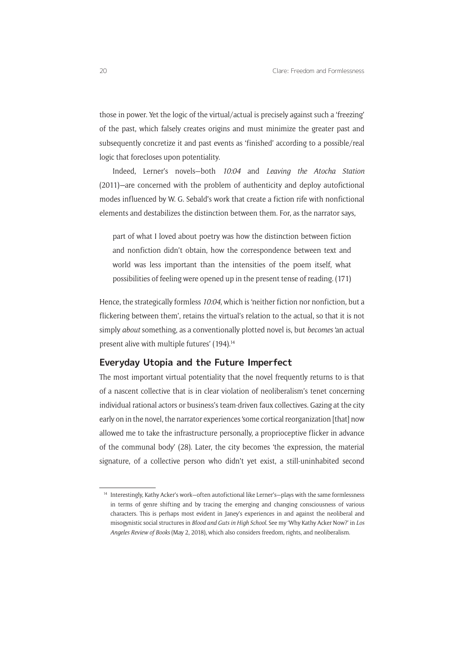those in power. Yet the logic of the virtual/actual is precisely against such a 'freezing' of the past, which falsely creates origins and must minimize the greater past and subsequently concretize it and past events as 'finished' according to a possible/real logic that forecloses upon potentiality.

Indeed, Lerner's novels—both *10:04* and *Leaving the Atocha Station*  (2011)*—*are concerned with the problem of authenticity and deploy autofictional modes influenced by W. G. Sebald's work that create a fiction rife with nonfictional elements and destabilizes the distinction between them. For, as the narrator says,

part of what I loved about poetry was how the distinction between fiction and nonfiction didn't obtain, how the correspondence between text and world was less important than the intensities of the poem itself, what possibilities of feeling were opened up in the present tense of reading. (171)

Hence, the strategically formless *10:04*, which is 'neither fiction nor nonfiction, but a flickering between them', retains the virtual's relation to the actual, so that it is not simply *about* something, as a conventionally plotted novel is, but *becomes* 'an actual present alive with multiple futures' (194).<sup>14</sup>

#### **Everyday Utopia and the Future Imperfect**

The most important virtual potentiality that the novel frequently returns to is that of a nascent collective that is in clear violation of neoliberalism's tenet concerning individual rational actors or business's team-driven faux collectives. Gazing at the city early on in the novel, the narrator experiences 'some cortical reorganization [that] now allowed me to take the infrastructure personally, a proprioceptive flicker in advance of the communal body' (28). Later, the city becomes 'the expression, the material signature, of a collective person who didn't yet exist, a still-uninhabited second

<sup>&</sup>lt;sup>14</sup> Interestingly, Kathy Acker's work–often autofictional like Lerner's–plays with the same formlessness in terms of genre shifting and by tracing the emerging and changing consciousness of various characters. This is perhaps most evident in Janey's experiences in and against the neoliberal and misogynistic social structures in *Blood and Guts in High School*. See my 'Why Kathy Acker Now?' in *Los Angeles Review of Books* (May 2, 2018), which also considers freedom, rights, and neoliberalism.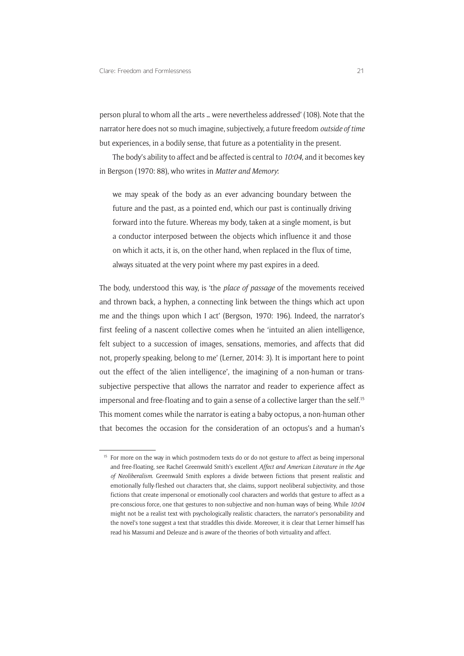person plural to whom all the arts … were nevertheless addressed' (108). Note that the narrator here does not so much imagine, subjectively, a future freedom *outside of time* but experiences, in a bodily sense, that future as a potentiality in the present.

The body's ability to affect and be affected is central to *10:04*, and it becomes key in Bergson (1970: 88), who writes in *Matter and Memory*:

we may speak of the body as an ever advancing boundary between the future and the past, as a pointed end, which our past is continually driving forward into the future. Whereas my body, taken at a single moment, is but a conductor interposed between the objects which influence it and those on which it acts, it is, on the other hand, when replaced in the flux of time, always situated at the very point where my past expires in a deed.

The body, understood this way, is 'the *place of passage* of the movements received and thrown back, a hyphen, a connecting link between the things which act upon me and the things upon which I act' (Bergson, 1970: 196). Indeed, the narrator's first feeling of a nascent collective comes when he 'intuited an alien intelligence, felt subject to a succession of images, sensations, memories, and affects that did not, properly speaking, belong to me' (Lerner, 2014: 3). It is important here to point out the effect of the 'alien intelligence', the imagining of a non-human or transsubjective perspective that allows the narrator and reader to experience affect as impersonal and free-floating and to gain a sense of a collective larger than the self.<sup>15</sup> This moment comes while the narrator is eating a baby octopus, a non-human other that becomes the occasion for the consideration of an octopus's and a human's

<sup>&</sup>lt;sup>15</sup> For more on the way in which postmodern texts do or do not gesture to affect as being impersonal and free-floating, see Rachel Greenwald Smith's excellent *Affect and American Literature in the Age of Neoliberalism*. Greenwald Smith explores a divide between fictions that present realistic and emotionally fully-fleshed out characters that, she claims, support neoliberal subjectivity, and those fictions that create impersonal or emotionally cool characters and worlds that gesture to affect as a pre-conscious force, one that gestures to non-subjective and non-human ways of being. While *10:04*  might not be a realist text with psychologically realistic characters, the narrator's personability and the novel's tone suggest a text that straddles this divide. Moreover, it is clear that Lerner himself has read his Massumi and Deleuze and is aware of the theories of both virtuality and affect.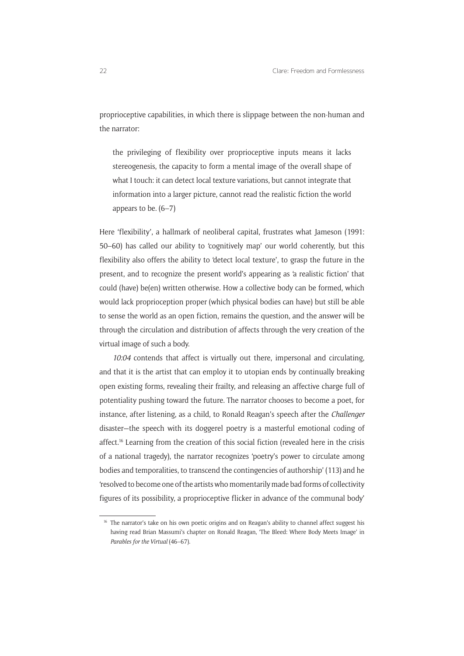proprioceptive capabilities, in which there is slippage between the non-human and the narrator:

the privileging of flexibility over proprioceptive inputs means it lacks stereogenesis, the capacity to form a mental image of the overall shape of what I touch: it can detect local texture variations, but cannot integrate that information into a larger picture, cannot read the realistic fiction the world appears to be. (6–7)

Here 'flexibility', a hallmark of neoliberal capital, frustrates what Jameson (1991: 50–60) has called our ability to 'cognitively map' our world coherently, but this flexibility also offers the ability to 'detect local texture', to grasp the future in the present, and to recognize the present world's appearing as 'a realistic fiction' that could (have) be(en) written otherwise. How a collective body can be formed, which would lack proprioception proper (which physical bodies can have) but still be able to sense the world as an open fiction, remains the question, and the answer will be through the circulation and distribution of affects through the very creation of the virtual image of such a body.

*10:04* contends that affect is virtually out there, impersonal and circulating, and that it is the artist that can employ it to utopian ends by continually breaking open existing forms, revealing their frailty, and releasing an affective charge full of potentiality pushing toward the future. The narrator chooses to become a poet, for instance, after listening, as a child, to Ronald Reagan's speech after the *Challenger* disaster—the speech with its doggerel poetry is a masterful emotional coding of affect.<sup>16</sup> Learning from the creation of this social fiction (revealed here in the crisis of a national tragedy), the narrator recognizes 'poetry's power to circulate among bodies and temporalities, to transcend the contingencies of authorship' (113) and he 'resolved to become one of the artists who momentarily made bad forms of collectivity figures of its possibility, a proprioceptive flicker in advance of the communal body'

<sup>&</sup>lt;sup>16</sup> The narrator's take on his own poetic origins and on Reagan's ability to channel affect suggest his having read Brian Massumi's chapter on Ronald Reagan, 'The Bleed: Where Body Meets Image' in *Parables for the Virtual* (46–67).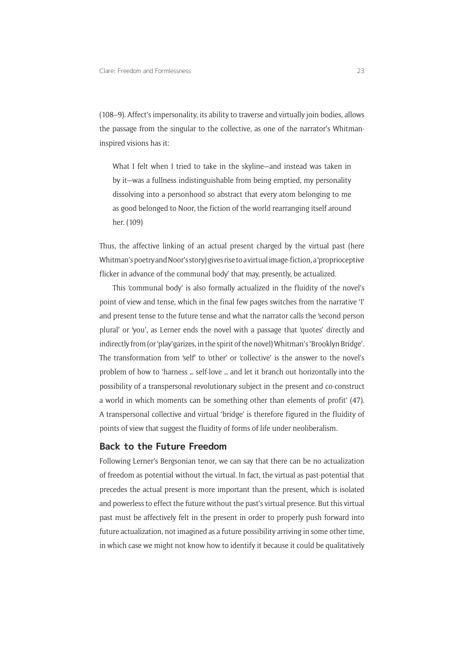(108–9). Affect's impersonality, its ability to traverse and virtually join bodies, allows the passage from the singular to the collective, as one of the narrator's Whitmaninspired visions has it:

What I felt when I tried to take in the skyline—and instead was taken in by it—was a fullness indistinguishable from being emptied, my personality dissolving into a personhood so abstract that every atom belonging to me as good belonged to Noor, the fiction of the world rearranging itself around her. (109)

Thus, the affective linking of an actual present charged by the virtual past (here Whitman's poetry and Noor's story) gives rise to a virtual image-fiction, a 'proprioceptive flicker in advance of the communal body' that may, presently, be actualized.

This 'communal body' is also formally actualized in the fluidity of the novel's point of view and tense, which in the final few pages switches from the narrative 'I' and present tense to the future tense and what the narrator calls the 'second person plural' or 'you', as Lerner ends the novel with a passage that 'quotes' directly and indirectly from (or 'play'garizes, in the spirit of the novel) Whitman's 'Brooklyn Bridge'. The transformation from 'self' to 'other' or 'collective' is the answer to the novel's problem of how to 'harness … self-love … and let it branch out horizontally into the possibility of a transpersonal revolutionary subject in the present and co-construct a world in which moments can be something other than elements of profit' (47). A transpersonal collective and virtual 'bridge' is therefore figured in the fluidity of points of view that suggest the fluidity of forms of life under neoliberalism.

#### **Back to the Future Freedom**

Following Lerner's Bergsonian tenor, we can say that there can be no actualization of freedom as potential without the virtual. In fact, the virtual as past-potential that precedes the actual present is more important than the present, which is isolated and powerless to effect the future without the past's virtual presence. But this virtual past must be affectively felt in the present in order to properly push forward into future actualization, not imagined as a future possibility arriving in some other time, in which case we might not know how to identify it because it could be qualitatively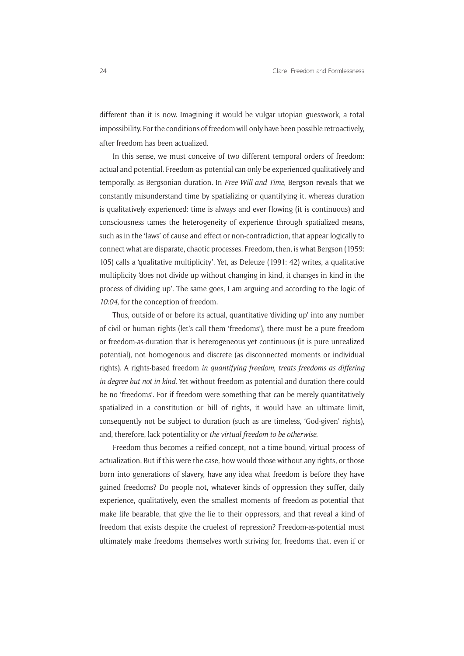different than it is now. Imagining it would be vulgar utopian guesswork, a total impossibility. For the conditions of freedom will only have been possible retroactively, after freedom has been actualized.

In this sense, we must conceive of two different temporal orders of freedom: actual and potential. Freedom-as-potential can only be experienced qualitatively and temporally, as Bergsonian duration. In *Free Will and Time*, Bergson reveals that we constantly misunderstand time by spatializing or quantifying it, whereas duration is qualitatively experienced: time is always and ever flowing (it is continuous) and consciousness tames the heterogeneity of experience through spatialized means, such as in the 'laws' of cause and effect or non-contradiction, that appear logically to connect what are disparate, chaotic processes. Freedom, then, is what Bergson (1959: 105) calls a 'qualitative multiplicity'. Yet, as Deleuze (1991: 42) writes, a qualitative multiplicity 'does not divide up without changing in kind, it changes in kind in the process of dividing up'. The same goes, I am arguing and according to the logic of *10:04*, for the conception of freedom.

Thus, outside of or before its actual, quantitative 'dividing up' into any number of civil or human rights (let's call them 'freedoms'), there must be a pure freedom or freedom-as-duration that is heterogeneous yet continuous (it is pure unrealized potential), not homogenous and discrete (as disconnected moments or individual rights). A rights-based freedom *in quantifying freedom*, *treats freedoms as differing in degree but not in kind*. Yet without freedom as potential and duration there could be no 'freedoms'. For if freedom were something that can be merely quantitatively spatialized in a constitution or bill of rights, it would have an ultimate limit, consequently not be subject to duration (such as are timeless, 'God-given' rights), and, therefore, lack potentiality or *the virtual freedom to be otherwise*.

Freedom thus becomes a reified concept, not a time-bound, virtual process of actualization. But if this were the case, how would those without any rights, or those born into generations of slavery, have any idea what freedom is before they have gained freedoms? Do people not, whatever kinds of oppression they suffer, daily experience, qualitatively, even the smallest moments of freedom-as-potential that make life bearable, that give the lie to their oppressors, and that reveal a kind of freedom that exists despite the cruelest of repression? Freedom-as-potential must ultimately make freedoms themselves worth striving for, freedoms that, even if or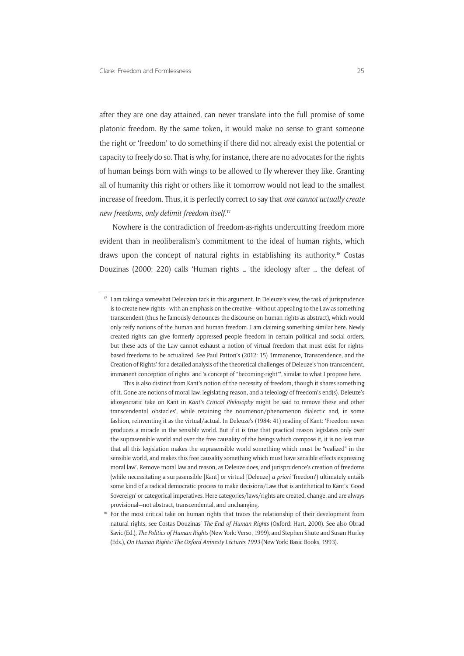after they are one day attained, can never translate into the full promise of some platonic freedom. By the same token, it would make no sense to grant someone the right or 'freedom' to do something if there did not already exist the potential or capacity to freely do so. That is why, for instance, there are no advocates for the rights of human beings born with wings to be allowed to fly wherever they like. Granting all of humanity this right or others like it tomorrow would not lead to the smallest increase of freedom. Thus, it is perfectly correct to say that *one cannot actually create new freedoms*, *only delimit freedom itself*. 17

Nowhere is the contradiction of freedom-as-rights undercutting freedom more evident than in neoliberalism's commitment to the ideal of human rights, which draws upon the concept of natural rights in establishing its authority.18 Costas Douzinas (2000: 220) calls 'Human rights … the ideology after … the defeat of

<sup>&</sup>lt;sup>17</sup> I am taking a somewhat Deleuzian tack in this argument. In Deleuze's view, the task of jurisprudence is to create new rights—with an emphasis on the creative—without appealing to the Law as something transcendent (thus he famously denounces the discourse on human rights as abstract), which would only reify notions of the human and human freedom. I am claiming something similar here. Newly created rights can give formerly oppressed people freedom in certain political and social orders, but these acts of the Law cannot exhaust a notion of virtual freedom that must exist for rightsbased freedoms to be actualized. See Paul Patton's (2012: 15) 'Immanence, Transcendence, and the Creation of Rights' for a detailed analysis of the theoretical challenges of Deleuze's 'non-transcendent, immanent conception of rights' and 'a concept of "becoming-right"', similar to what I propose here.

This is also distinct from Kant's notion of the necessity of freedom, though it shares something of it. Gone are notions of moral law, legislating reason, and a teleology of freedom's end(s). Deleuze's idiosyncratic take on Kant in *Kant's Critical Philosophy* might be said to remove these and other transcendental 'obstacles', while retaining the noumenon/phenomenon dialectic and, in some fashion, reinventing it as the virtual/actual. In Deleuze's (1984: 41) reading of Kant: 'Freedom never produces a miracle in the sensible world. But if it is true that practical reason legislates only over the suprasensible world and over the free causality of the beings which compose it, it is no less true that all this legislation makes the suprasensible world something which must be "realized" in the sensible world, and makes this free causality something which must have sensible effects expressing moral law'. Remove moral law and reason, as Deleuze does, and jurisprudence's creation of freedoms (while necessitating a surpasensible [Kant] or virtual [Deleuze] *a priori* 'freedom') ultimately entails some kind of a radical democratic process to make decisions/Law that is antithetical to Kant's 'Good Sovereign' or categorical imperatives. Here categories/laws/rights are created, change, and are always provisional—not abstract, transcendental, and unchanging.

<sup>&</sup>lt;sup>18</sup> For the most critical take on human rights that traces the relationship of their development from natural rights, see Costas Douzinas' *The End of Human Rights* (Oxford: Hart, 2000). See also Obrad Savic (Ed.), *The Politics of Human Rights* (New York: Verso, 1999), and Stephen Shute and Susan Hurley (Eds.), *On Human Rights: The Oxford Amnesty Lectures 1993* (New York: Basic Books, 1993).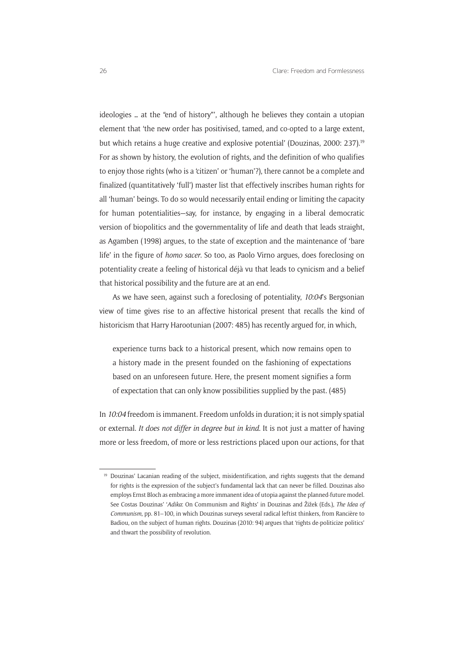ideologies … at the "end of history"', although he believes they contain a utopian element that 'the new order has positivised, tamed, and co-opted to a large extent, but which retains a huge creative and explosive potential' (Douzinas, 2000: 237).19 For as shown by history, the evolution of rights, and the definition of who qualifies to enjoy those rights (who is a 'citizen' or 'human'?), there cannot be a complete and finalized (quantitatively 'full') master list that effectively inscribes human rights for all 'human' beings. To do so would necessarily entail ending or limiting the capacity for human potentialities—say, for instance, by engaging in a liberal democratic version of biopolitics and the governmentality of life and death that leads straight, as Agamben (1998) argues, to the state of exception and the maintenance of 'bare life' in the figure of *homo sacer*. So too, as Paolo Virno argues, does foreclosing on potentiality create a feeling of historical déjà vu that leads to cynicism and a belief that historical possibility and the future are at an end.

As we have seen, against such a foreclosing of potentiality, *10:04*'s Bergsonian view of time gives rise to an affective historical present that recalls the kind of historicism that Harry Harootunian (2007: 485) has recently argued for, in which,

experience turns back to a historical present, which now remains open to a history made in the present founded on the fashioning of expectations based on an unforeseen future. Here, the present moment signifies a form of expectation that can only know possibilities supplied by the past. (485)

In *10:04* freedom is immanent. Freedom unfolds in duration; it is not simply spatial or external. *It does not differ in degree but in kind*. It is not just a matter of having more or less freedom, of more or less restrictions placed upon our actions, for that

<sup>&</sup>lt;sup>19</sup> Douzinas' Lacanian reading of the subject, misidentification, and rights suggests that the demand for rights is the expression of the subject's fundamental lack that can never be filled. Douzinas also employs Ernst Bloch as embracing a more immanent idea of utopia against the planned-future model. See Costas Douzinas' '*Adika*: On Communism and Rights' in Douzinas and Žižek (Eds.), *The Idea of Communism*, pp. 81–100, in which Douzinas surveys several radical leftist thinkers, from Rancière to Badiou, on the subject of human rights. Douzinas (2010: 94) argues that 'rights de-politicize politics' and thwart the possibility of revolution.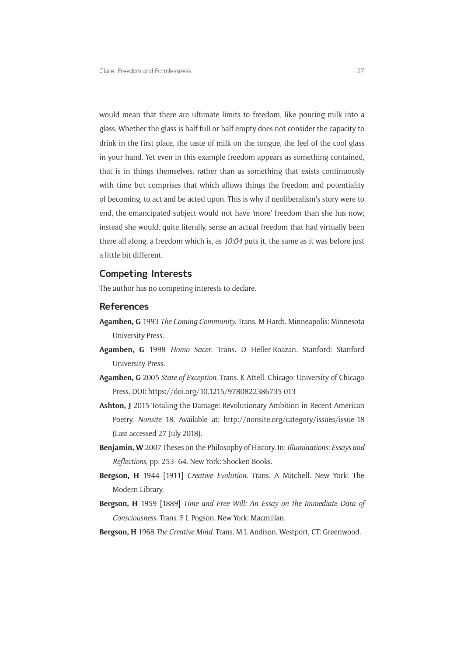would mean that there are ultimate limits to freedom, like pouring milk into a glass. Whether the glass is half full or half empty does not consider the capacity to drink in the first place, the taste of milk on the tongue, the feel of the cool glass in your hand. Yet even in this example freedom appears as something contained, that is in things themselves, rather than as something that exists continuously with time but comprises that which allows things the freedom and potentiality of becoming, to act and be acted upon. This is why if neoliberalism's story were to end, the emancipated subject would not have 'more' freedom than she has now; instead she would, quite literally, sense an actual freedom that had virtually been there all along, a freedom which is, as *10:04* puts it, the same as it was before just a little bit different.

#### **Competing Interests**

The author has no competing interests to declare.

#### **References**

- **Agamben, G** 1993 *The Coming Community*. Trans. M Hardt. Minneapolis: Minnesota University Press.
- **Agamben, G** 1998 *Homo Sacer*. Trans. D Heller-Roazan. Stanford: Stanford University Press.
- **Agamben, G** 2005 *State of Exception*. Trans. K Attell. Chicago: University of Chicago Press. DOI:<https://doi.org/10.1215/9780822386735-013>
- **Ashton, J** 2015 Totaling the Damage: Revolutionary Ambition in Recent American Poetry. *Nonsite* 18. Available at: <http://nonsite.org/category/issues/issue-18> (Last accessed 27 July 2018).
- **Benjamin, W** 2007 Theses on the Philosophy of History. In: *Illuminations: Essays and Reflections*, pp. 253–64. New York: Shocken Books.
- **Bergson, H** 1944 [1911] *Creative Evolution*. Trans. A Mitchell. New York: The Modern Library.
- **Bergson, H** 1959 [1889] *Time and Free Will: An Essay on the Immediate Data of Consciousness*. Trans. F L Pogson. New York: Macmillan.
- **Bergson, H** 1968 *The Creative Mind*. Trans. M L Andison. Westport, CT: Greenwood.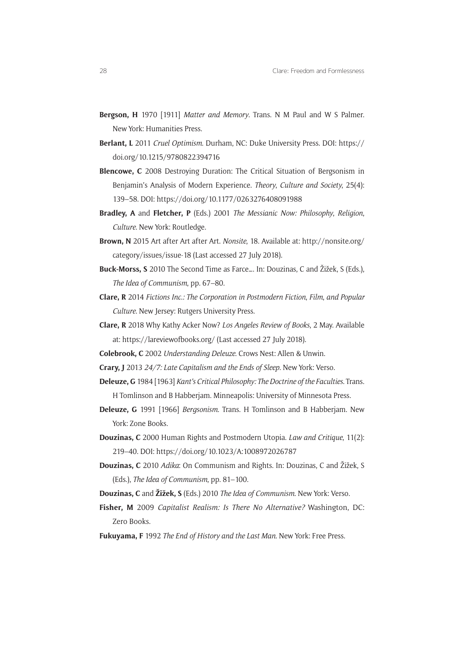- **Bergson, H** 1970 [1911] *Matter and Memory*. Trans. N M Paul and W S Palmer. New York: Humanities Press.
- **Berlant, L** 2011 *Cruel Optimism*. Durham, NC: Duke University Press. DOI: [https://](https://doi.org/10.1215/9780822394716) [doi.org/10.1215/9780822394716](https://doi.org/10.1215/9780822394716)
- **Blencowe, C** 2008 Destroying Duration: The Critical Situation of Bergsonism in Benjamin's Analysis of Modern Experience. *Theory*, *Culture and Society*, 25(4): 139–58. DOI:<https://doi.org/10.1177/0263276408091988>
- **Bradley, A** and **Fletcher, P** (Eds.) 2001 *The Messianic Now: Philosophy*, *Religion*, *Culture*. New York: Routledge.
- **Brown, N** 2015 Art after Art after Art. *Nonsite*, 18. Available at: [http://nonsite.org/](http://nonsite.org/category/issues/issue-18) [category/issues/issue-18](http://nonsite.org/category/issues/issue-18) (Last accessed 27 July 2018).
- **Buck-Morss, S** 2010 The Second Time as Farce…. In: Douzinas, C and Žižek, S (Eds.), *The Idea of Communism*, pp. 67–80.
- **Clare, R** 2014 *Fictions Inc*.*: The Corporation in Postmodern Fiction*, *Film*, *and Popular Culture*. New Jersey: Rutgers University Press.
- **Clare, R** 2018 Why Kathy Acker Now? *Los Angeles Review of Books*, 2 May. Available at: <https://lareviewofbooks.org/> (Last accessed 27 July 2018).
- **Colebrook, C** 2002 *Understanding Deleuze*. Crows Nest: Allen & Unwin.
- **Crary, J** 2013 *24/7: Late Capitalism and the Ends of Sleep*. New York: Verso.
- **Deleuze, G** 1984 [1963] *Kant's Critical Philosophy: The Doctrine of the Faculties*. Trans. H Tomlinson and B Habberjam. Minneapolis: University of Minnesota Press.
- **Deleuze, G** 1991 [1966] *Bergsonism*. Trans. H Tomlinson and B Habberjam. New York: Zone Books.
- **Douzinas, C** 2000 Human Rights and Postmodern Utopia. *Law and Critique*, 11(2): 219–40. DOI: <https://doi.org/10.1023/A:1008972026787>
- **Douzinas, C** 2010 *Adika*: On Communism and Rights. In: Douzinas, C and Žižek, S (Eds.), *The Idea of Communism*, pp. 81–100.
- **Douzinas, C** and **Žižek, S** (Eds.) 2010 *The Idea of Communism*. New York: Verso.
- **Fisher, M** 2009 *Capitalist Realism: Is There No Alternative?* Washington, DC: Zero Books.
- **Fukuyama, F** 1992 *The End of History and the Last Man*. New York: Free Press.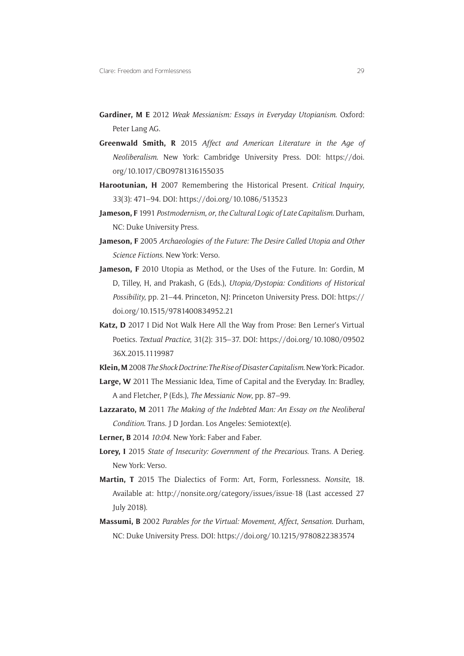- **Gardiner, M E** 2012 *Weak Messianism: Essays in Everyday Utopianism*. Oxford: Peter Lang AG.
- **Greenwald Smith, R** 2015 *Affect and American Literature in the Age of Neoliberalism*. New York: Cambridge University Press. DOI: [https://doi.](https://doi.org/10.1017/CBO9781316155035) [org/10.1017/CBO9781316155035](https://doi.org/10.1017/CBO9781316155035)
- **Harootunian, H** 2007 Remembering the Historical Present. *Critical Inquiry*, 33(3): 471–94. DOI:<https://doi.org/10.1086/513523>
- **Jameson, F** 1991 *Postmodernism*, *or*, *the Cultural Logic of Late Capitalism*. Durham, NC: Duke University Press.
- **Jameson, F** 2005 *Archaeologies of the Future: The Desire Called Utopia and Other Science Fictions*. New York: Verso.
- **Jameson, F** 2010 Utopia as Method, or the Uses of the Future. In: Gordin, M D, Tilley, H, and Prakash, G (Eds.), *Utopia/Dystopia: Conditions of Historical Possibility*, pp. 21–44. Princeton, NJ: Princeton University Press. DOI: [https://](https://doi.org/10.1515/9781400834952.21) [doi.org/10.1515/9781400834952.21](https://doi.org/10.1515/9781400834952.21)
- **Katz, D** 2017 I Did Not Walk Here All the Way from Prose: Ben Lerner's Virtual Poetics. *Textual Practice*, 31(2): 315–37. DOI: [https://doi.org/10.1080/09502](https://doi.org/10.1080/0950236X.2015.1119987) [36X.2015.1119987](https://doi.org/10.1080/0950236X.2015.1119987)
- **Klein, M** 2008 *The Shock Doctrine: The Rise of Disaster Capitalism*. New York: Picador.
- **Large, W** 2011 The Messianic Idea, Time of Capital and the Everyday. In: Bradley, A and Fletcher, P (Eds.), *The Messianic Now*, pp. 87–99.
- **Lazzarato, M** 2011 *The Making of the Indebted Man: An Essay on the Neoliberal Condition*. Trans. J D Jordan. Los Angeles: Semiotext(e).
- **Lerner, B** 2014 *10:04*. New York: Faber and Faber.
- **Lorey, I** 2015 *State of Insecurity: Government of the Precarious*. Trans. A Derieg. New York: Verso.
- **Martin, T** 2015 The Dialectics of Form: Art, Form, Forlessness. *Nonsite*, 18. Available at: <http://nonsite.org/category/issues/issue-18> (Last accessed 27 July 2018).
- **Massumi, B** 2002 *Parables for the Virtual: Movement*, *Affect*, *Sensation*. Durham, NC: Duke University Press. DOI: <https://doi.org/10.1215/9780822383574>